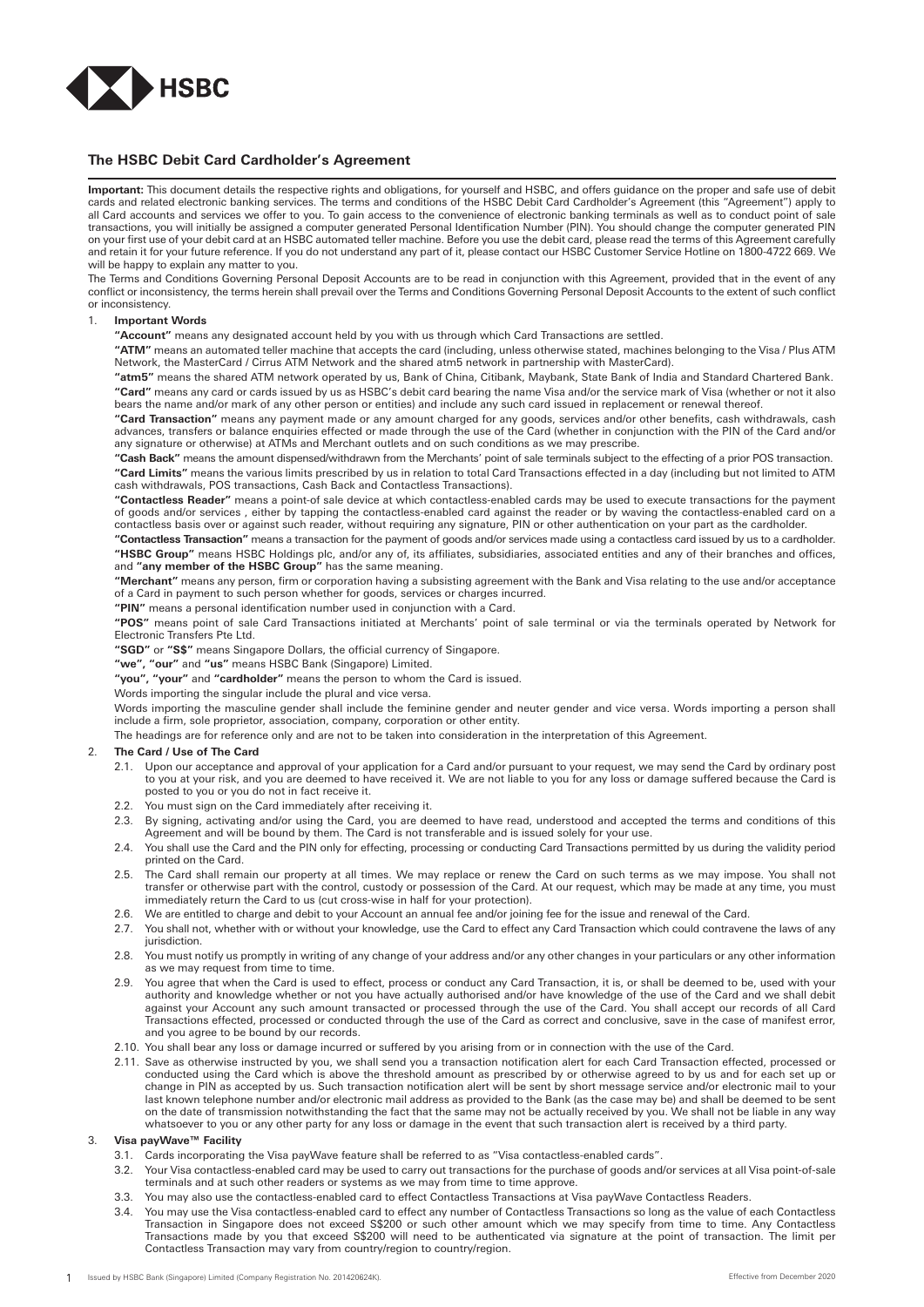

## **The HSBC Debit Card Cardholder's Agreement**

**Important:** This document details the respective rights and obligations, for yourself and HSBC, and offers guidance on the proper and safe use of debit cards and related electronic banking services. The terms and conditions of the HSBC Debit Card Cardholder's Agreement (this "Agreement") apply to all Card accounts and services we offer to you. To gain access to the convenience of electronic banking terminals as well as to conduct point of sale transactions, you will initially be assigned a computer generated Personal Identification Number (PIN). You should change the computer generated PIN on your first use of your debit card at an HSBC automated teller machine. Before you use the debit card, please read the terms of this Agreement carefully and retain it for your future reference. If you do not understand any part of it, please contact our HSBC Customer Service Hotline on 1800-4722 669. We will be happy to explain any matter to you.

The Terms and Conditions Governing Personal Deposit Accounts are to be read in conjunction with this Agreement, provided that in the event of any conflict or inconsistency, the terms herein shall prevail over the Terms and Conditions Governing Personal Deposit Accounts to the extent of such conflict or inconsistency.

### 1. **Important Words**

**"Account"** means any designated account held by you with us through which Card Transactions are settled.

**"ATM"** means an automated teller machine that accepts the card (including, unless otherwise stated, machines belonging to the Visa / Plus ATM Network, the MasterCard / Cirrus ATM Network and the shared atm5 network in partnership with MasterCard).

**"atm5"** means the shared ATM network operated by us, Bank of China, Citibank, Maybank, State Bank of India and Standard Chartered Bank. **"Card"** means any card or cards issued by us as HSBC's debit card bearing the name Visa and/or the service mark of Visa (whether or not it also bears the name and/or mark of any other person or entities) and include any such card issued in replacement or renewal thereof.

**"Card Transaction"** means any payment made or any amount charged for any goods, services and/or other benefits, cash withdrawals, cash advances, transfers or balance enquiries effected or made through the use of the Card (whether in conjunction with the PIN of the Card and/or any signature or otherwise) at ATMs and Merchant outlets and on such conditions as we may prescribe.

**"Cash Back"** means the amount dispensed/withdrawn from the Merchants' point of sale terminals subject to the effecting of a prior POS transaction. **"Card Limits"** means the various limits prescribed by us in relation to total Card Transactions effected in a day (including but not limited to ATM<br>cash withdrawals, POS transactions, Cash Back and Contactless Transaction

**"Contactless Reader"** means a point-of sale device at which contactless-enabled cards may be used to execute transactions for the payment of goods and/or services , either by tapping the contactless-enabled card against the reader or by waving the contactless-enabled card on a contactless basis over or against such reader, without requiring any signature, PIN or other authentication on your part as the cardholder.

**"Contactless Transaction"** means a transaction for the payment of goods and/or services made using a contactless card issued by us to a cardholder. **"HSBC Group"** means HSBC Holdings plc, and/or any of, its affiliates, subsidiaries, associated entities and any of their branches and offices, and **"any member of the HSBC Group"** has the same meaning.

**"Merchant"** means any person, firm or corporation having a subsisting agreement with the Bank and Visa relating to the use and/or acceptance of a Card in payment to such person whether for goods, services or charges incurred.

**"PIN"** means a personal identification number used in conjunction with a Card.

**"POS"** means point of sale Card Transactions initiated at Merchants' point of sale terminal or via the terminals operated by Network for Electronic Transfers Pte Ltd.

**"SGD"** or **"S\$"** means Singapore Dollars, the official currency of Singapore.

**"we", "our"** and **"us"** means HSBC Bank (Singapore) Limited.

**"you", "your"** and **"cardholder"** means the person to whom the Card is issued.

Words importing the singular include the plural and vice versa.

Words importing the masculine gender shall include the feminine gender and neuter gender and vice versa. Words importing a person shall include a firm, sole proprietor, association, company, corporation or other entity.

The headings are for reference only and are not to be taken into consideration in the interpretation of this Agreement.

## 2. **The Card / Use of The Card**

- 2.1. Upon our acceptance and approval of your application for a Card and/or pursuant to your request, we may send the Card by ordinary post to you at your risk, and you are deemed to have received it. We are not liable to you for any loss or damage suffered because the Card is posted to you or you do not in fact receive it.
- 2.2. You must sign on the Card immediately after receiving it.
- 2.3. By signing, activating and/or using the Card, you are deemed to have read, understood and accepted the terms and conditions of this Agreement and will be bound by them. The Card is not transferable and is issued solely for your use.
- 2.4. You shall use the Card and the PIN only for effecting, processing or conducting Card Transactions permitted by us during the validity period printed on the Card.
- 2.5. The Card shall remain our property at all times. We may replace or renew the Card on such terms as we may impose. You shall not transfer or otherwise part with the control, custody or possession of the Card. At our request, which may be made at any time, you must immediately return the Card to us (cut cross-wise in half for your protection).
- 2.6. We are entitled to charge and debit to your Account an annual fee and/or joining fee for the issue and renewal of the Card.
- 2.7. You shall not, whether with or without your knowledge, use the Card to effect any Card Transaction which could contravene the laws of any jurisdiction.
- 2.8. You must notify us promptly in writing of any change of your address and/or any other changes in your particulars or any other information as we may request from time to time.
- 2.9. You agree that when the Card is used to effect, process or conduct any Card Transaction, it is, or shall be deemed to be, used with your authority and knowledge whether or not you have actually authorised and/or have knowledge of the use of the Card and we shall debit against your Account any such amount transacted or processed through the use of the Card. You shall accept our records of all Card Transactions effected, processed or conducted through the use of the Card as correct and conclusive, save in the case of manifest error, and you agree to be bound by our records.
- 2.10. You shall bear any loss or damage incurred or suffered by you arising from or in connection with the use of the Card.
- 2.11. Save as otherwise instructed by you, we shall send you a transaction notification alert for each Card Transaction effected, processed or conducted using the Card which is above the threshold amount as prescribed by or otherwise agreed to by us and for each set up or change in PIN as accepted by us. Such transaction notification alert will be sent by short message service and/or electronic mail to your last known telephone number and/or electronic mail address as provided to the Bank (as the case may be) and shall be deemed to be sent on the date of transmission notwithstanding the fact that the same may not be actually received by you. We shall not be liable in any way whatsoever to you or any other party for any loss or damage in the event that such transaction alert is received by a third party.

## 3. **Visa payWave™ Facility**

- 3.1. Cards incorporating the Visa payWave feature shall be referred to as "Visa contactless-enabled cards".
- 3.2. Your Visa contactless-enabled card may be used to carry out transactions for the purchase of goods and/or services at all Visa point-of-sale terminals and at such other readers or systems as we may from time to time approve.
- 3.3. You may also use the contactless-enabled card to effect Contactless Transactions at Visa payWave Contactless Readers.
- 3.4. You may use the Visa contactless-enabled card to effect any number of Contactless Transactions so long as the value of each Contactless Transaction in Singapore does not exceed S\$200 or such other amount which we may specify from time to time. Any Contactless Transactions made by you that exceed S\$200 will need to be authenticated via signature at the point of transaction. The limit per Contactless Transaction may vary from country/region to country/region.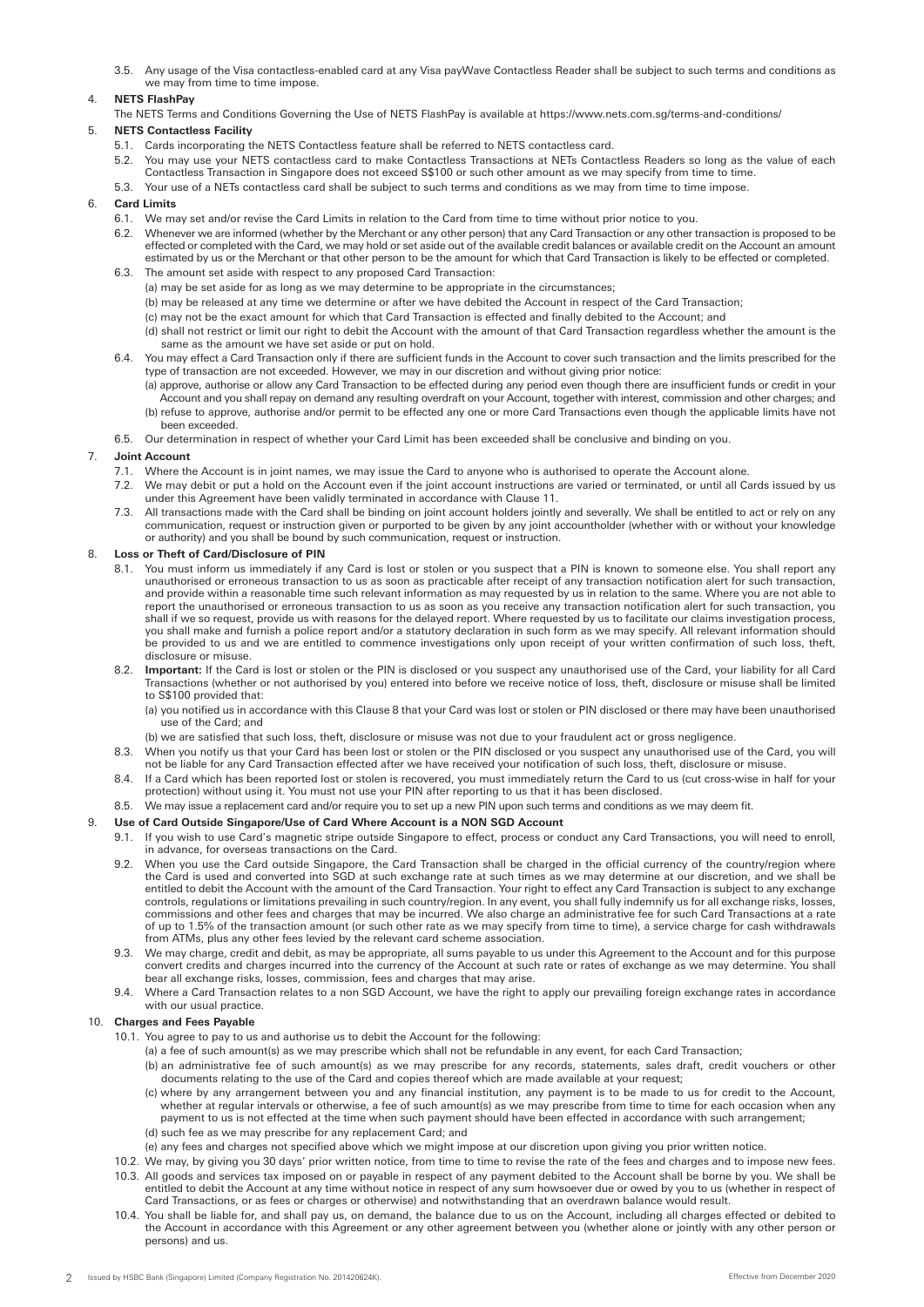3.5. Any usage of the Visa contactless-enabled card at any Visa payWave Contactless Reader shall be subject to such terms and conditions as we may from time to time impose.

# 4. **NETS FlashPay**

The NETS Terms and Conditions Governing the Use of NETS FlashPay is available at https://www.nets.com.sg/terms-and-conditions/

# 5. **NETS Contactless Facility**

- 5.1. Cards incorporating the NETS Contactless feature shall be referred to NETS contactless card.
- 5.2. You may use your NETS contactless card to make Contactless Transactions at NETs Contactless Readers so long as the value of each Contactless Transaction in Singapore does not exceed S\$100 or such other amount as we may specify from time to time.
- 5.3. Your use of a NETs contactless card shall be subject to such terms and conditions as we may from time to time impose.

# 6. **Card Limits**

- 6.1. We may set and/or revise the Card Limits in relation to the Card from time to time without prior notice to you.
- 6.2. Whenever we are informed (whether by the Merchant or any other person) that any Card Transaction or any other transaction is proposed to be effected or completed with the Card, we may hold or set aside out of the available credit balances or available credit on the Account an amount estimated by us or the Merchant or that other person to be the amount for which that Card Transaction is likely to be effected or completed. 6.3. The amount set aside with respect to any proposed Card Transaction:
	- (a) may be set aside for as long as we may determine to be appropriate in the circumstances;
		- (b) may be released at any time we determine or after we have debited the Account in respect of the Card Transaction;
	- (c) may not be the exact amount for which that Card Transaction is effected and finally debited to the Account; and
	- (d) shall not restrict or limit our right to debit the Account with the amount of that Card Transaction regardless whether the amount is the same as the amount we have set aside or put on hold.
- 6.4. You may effect a Card Transaction only if there are sufficient funds in the Account to cover such transaction and the limits prescribed for the type of transaction are not exceeded. However, we may in our discretion and without giving prior notice:
	- (a) approve, authorise or allow any Card Transaction to be effected during any period even though there are insufficient funds or credit in your Account and you shall repay on demand any resulting overdraft on your Account, together with interest, commission and other charges; and
	- (b) refuse to approve, authorise and/or permit to be effected any one or more Card Transactions even though the applicable limits have not been exceeded.
- 6.5. Our determination in respect of whether your Card Limit has been exceeded shall be conclusive and binding on you.

## 7. **Joint Account**

- 7.1. Where the Account is in joint names, we may issue the Card to anyone who is authorised to operate the Account alone.
- 7.2. We may debit or put a hold on the Account even if the joint account instructions are varied or terminated, or until all Cards issued by us under this Agreement have been validly terminated in accordance with Clause 11.
- 7.3. All transactions made with the Card shall be binding on joint account holders jointly and severally. We shall be entitled to act or rely on any communication, request or instruction given or purported to be given by any joint accountholder (whether with or without your knowledge or authority) and you shall be bound by such communication, request or instruction.

## 8. **Loss or Theft of Card/Disclosure of PIN**

- 8.1. You must inform us immediately if any Card is lost or stolen or you suspect that a PIN is known to someone else. You shall report any unauthorised or erroneous transaction to us as soon as practicable after receipt of any transaction notification alert for such transaction, and provide within a reasonable time such relevant information as may requested by us in relation to the same. Where you are not able to report the unauthorised or erroneous transaction to us as soon as you receive any transaction notification alert for such transaction, you shall if we so request, provide us with reasons for the delayed report. Where requested by us to facilitate our claims investigation process, you shall make and furnish a police report and/or a statutory declaration in such form as we may specify. All relevant information should be provided to us and we are entitled to commence investigations only upon receipt of your written confirmation of such loss, theft, disclosure or misuse.
- 8.2. **Important:** If the Card is lost or stolen or the PIN is disclosed or you suspect any unauthorised use of the Card, your liability for all Card Transactions (whether or not authorised by you) entered into before we receive notice of loss, theft, disclosure or misuse shall be limited to S\$100 provided that:
	- (a) you notified us in accordance with this Clause 8 that your Card was lost or stolen or PIN disclosed or there may have been unauthorised use of the Card; and
	- (b) we are satisfied that such loss, theft, disclosure or misuse was not due to your fraudulent act or gross negligence.
- 8.3. When you notify us that your Card has been lost or stolen or the PIN disclosed or you suspect any unauthorised use of the Card, you will not be liable for any Card Transaction effected after we have received your notification of such loss, theft, disclosure or misuse.
- 8.4. If a Card which has been reported lost or stolen is recovered, you must immediately return the Card to us (cut cross-wise in half for your protection) without using it. You must not use your PIN after reporting to us that it has been disclosed.
- 8.5. We may issue a replacement card and/or require you to set up a new PIN upon such terms and conditions as we may deem fit.

## 9. **Use of Card Outside Singapore/Use of Card Where Account is a NON SGD Account**

- 9.1. If you wish to use Card's magnetic stripe outside Singapore to effect, process or conduct any Card Transactions, you will need to enroll, in advance, for overseas transactions on the Card.
- 9.2. When you use the Card outside Singapore, the Card Transaction shall be charged in the official currency of the country/region where the Card is used and converted into SGD at such exchange rate at such times as we may determine at our discretion, and we shall be entitled to debit the Account with the amount of the Card Transaction. Your right to effect any Card Transaction is subject to any exchange controls, regulations or limitations prevailing in such country/region. In any event, you shall fully indemnify us for all exchange risks, losses, commissions and other fees and charges that may be incurred. We also charge an administrative fee for such Card Transactions at a rate of up to 1.5% of the transaction amount (or such other rate as we may specify from time to time), a service charge for cash withdrawals from ATMs, plus any other fees levied by the relevant card scheme association.
- 9.3. We may charge, credit and debit, as may be appropriate, all sums payable to us under this Agreement to the Account and for this purpose convert credits and charges incurred into the currency of the Account at such rate or rates of exchange as we may determine. You shall bear all exchange risks, losses, commission, fees and charges that may arise.
- 9.4. Where a Card Transaction relates to a non SGD Account, we have the right to apply our prevailing foreign exchange rates in accordance with our usual practice.

# 10. **Charges and Fees Payable**

- 10.1. You agree to pay to us and authorise us to debit the Account for the following:
	- (a) a fee of such amount(s) as we may prescribe which shall not be refundable in any event, for each Card Transaction;
	- (b) an administrative fee of such amount(s) as we may prescribe for any records, statements, sales draft, credit vouchers or other documents relating to the use of the Card and copies thereof which are made available at your request;
	- (c) where by any arrangement between you and any financial institution, any payment is to be made to us for credit to the Account, whether at regular intervals or otherwise, a fee of such amount(s) as we may prescribe from time to time for each occasion when any payment to us is not effected at the time when such payment should have been effected in accordance with such arrangement;
	- (d) such fee as we may prescribe for any replacement Card; and
	- (e) any fees and charges not specified above which we might impose at our discretion upon giving you prior written notice.
- 10.2. We may, by giving you 30 days' prior written notice, from time to time to revise the rate of the fees and charges and to impose new fees. 10.3. All goods and services tax imposed on or payable in respect of any payment debited to the Account shall be borne by you. We shall be entitled to debit the Account at any time without notice in respect of any sum howsoever due or owed by you to us (whether in respect of Card Transactions, or as fees or charges or otherwise) and notwithstanding that an overdrawn balance would result.
- 10.4. You shall be liable for, and shall pay us, on demand, the balance due to us on the Account, including all charges effected or debited to the Account in accordance with this Agreement or any other agreement between you (whether alone or jointly with any other person or persons) and us.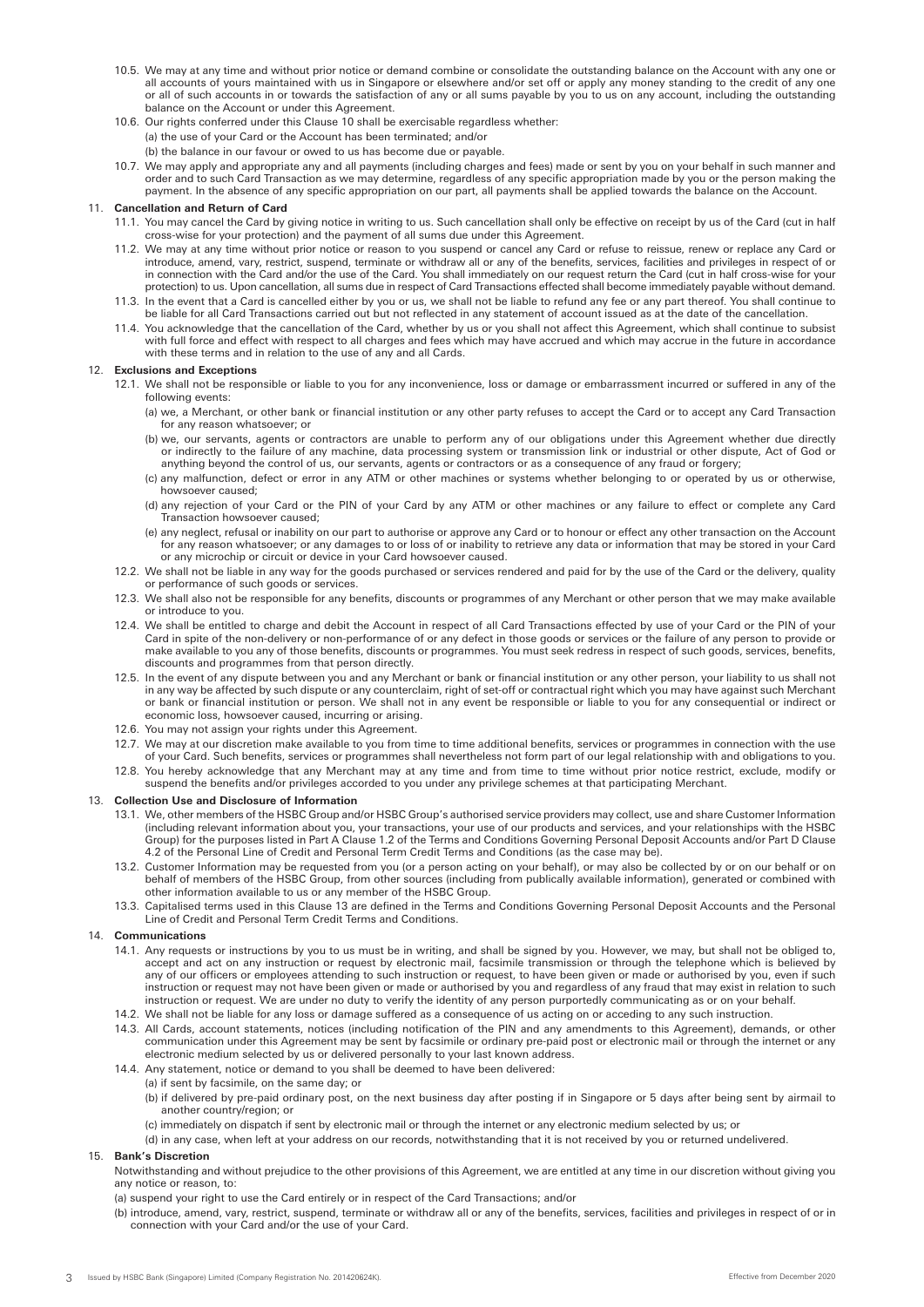- 10.5. We may at any time and without prior notice or demand combine or consolidate the outstanding balance on the Account with any one or all accounts of yours maintained with us in Singapore or elsewhere and/or set off or apply any money standing to the credit of any one or all of such accounts in or towards the satisfaction of any or all sums payable by you to us on any account, including the outstanding balance on the Account or under this Agreement.
- 10.6. Our rights conferred under this Clause 10 shall be exercisable regardless whether: (a) the use of your Card or the Account has been terminated; and/or
	- (b) the balance in our favour or owed to us has become due or payable.
- 10.7. We may apply and appropriate any and all payments (including charges and fees) made or sent by you on your behalf in such manner and order and to such Card Transaction as we may determine, regardless of any specific appropriation made by you or the person making the payment. In the absence of any specific appropriation on our part, all payments shall be applied towards the balance on the Account.

## 11. **Cancellation and Return of Card**

- 11.1. You may cancel the Card by giving notice in writing to us. Such cancellation shall only be effective on receipt by us of the Card (cut in half cross-wise for your protection) and the payment of all sums due under this Agreement.
- 11.2. We may at any time without prior notice or reason to you suspend or cancel any Card or refuse to reissue, renew or replace any Card or introduce, amend, vary, restrict, suspend, terminate or withdraw all or any of the benefits, services, facilities and privileges in respect of or in connection with the Card and/or the use of the Card. You shall immediately on our request return the Card (cut in half cross-wise for your protection) to us. Upon cancellation, all sums due in respect of Card Transactions effected shall become immediately payable without demand.
- 11.3. In the event that a Card is cancelled either by you or us, we shall not be liable to refund any fee or any part thereof. You shall continue to be liable for all Card Transactions carried out but not reflected in any statement of account issued as at the date of the cancellation.
- 11.4. You acknowledge that the cancellation of the Card, whether by us or you shall not affect this Agreement, which shall continue to subsist with full force and effect with respect to all charges and fees which may have accrued and which may accrue in the future in accordance with these terms and in relation to the use of any and all Cards.

## 12. **Exclusions and Exceptions**

- 12.1. We shall not be responsible or liable to you for any inconvenience, loss or damage or embarrassment incurred or suffered in any of the following events:
	- (a) we, a Merchant, or other bank or financial institution or any other party refuses to accept the Card or to accept any Card Transaction for any reason whatsoever; or
	- (b) we, our servants, agents or contractors are unable to perform any of our obligations under this Agreement whether due directly or indirectly to the failure of any machine, data processing system or transmission link or industrial or other dispute, Act of God or anything beyond the control of us, our servants, agents or contractors or as a consequence of any fraud or forgery;
	- (c) any malfunction, defect or error in any ATM or other machines or systems whether belonging to or operated by us or otherwise, howsoever caused;
	- (d) any rejection of your Card or the PIN of your Card by any ATM or other machines or any failure to effect or complete any Card Transaction howsoever caused;
- (e) any neglect, refusal or inability on our part to authorise or approve any Card or to honour or effect any other transaction on the Account for any reason whatsoever; or any damages to or loss of or inability to retrieve any data or information that may be stored in your Card or any microchip or circuit or device in your Card howsoever caused.
	- 12.2. We shall not be liable in any way for the goods purchased or services rendered and paid for by the use of the Card or the delivery, quality or performance of such goods or services.
	- 12.3. We shall also not be responsible for any benefits, discounts or programmes of any Merchant or other person that we may make available or introduce to you.
	- 12.4. We shall be entitled to charge and debit the Account in respect of all Card Transactions effected by use of your Card or the PIN of your Card in spite of the non-delivery or non-performance of or any defect in those goods or services or the failure of any person to provide or make available to you any of those benefits, discounts or programmes. You must seek redress in respect of such goods, services, benefits, discounts and programmes from that person directly.
	- 12.5. In the event of any dispute between you and any Merchant or bank or financial institution or any other person, your liability to us shall not in any way be affected by such dispute or any counterclaim, right of set-off or contractual right which you may have against such Merchant or bank or financial institution or person. We shall not in any event be responsible or liable to you for any consequential or indirect or economic loss, howsoever caused, incurring or arising.
	- 12.6. You may not assign your rights under this Agreement.
	- 12.7. We may at our discretion make available to you from time to time additional benefits, services or programmes in connection with the use of your Card. Such benefits, services or programmes shall nevertheless not form part of our legal relationship with and obligations to you.
	- 12.8. You hereby acknowledge that any Merchant may at any time and from time to time without prior notice restrict, exclude, modify or suspend the benefits and/or privileges accorded to you under any privilege schemes at that participating Merchant.

## 13. **Collection Use and Disclosure of Information**

- 13.1. We, other members of the HSBC Group and/or HSBC Group's authorised service providers may collect, use and share Customer Information (including relevant information about you, your transactions, your use of our products and services, and your relationships with the HSBC Group) for the purposes listed in Part A Clause 1.2 of the Terms and Conditions Governing Personal Deposit Accounts and/or Part D Clause 4.2 of the Personal Line of Credit and Personal Term Credit Terms and Conditions (as the case may be).
- 13.2. Customer Information may be requested from you (or a person acting on your behalf), or may also be collected by or on our behalf or on behalf of members of the HSBC Group, from other sources (including from publically available information), generated or combined with other information available to us or any member of the HSBC Group.
- 13.3. Capitalised terms used in this Clause 13 are defined in the Terms and Conditions Governing Personal Deposit Accounts and the Personal Line of Credit and Personal Term Credit Terms and Conditions.

## 14. **Communications**

- 14.1. Any requests or instructions by you to us must be in writing, and shall be signed by you. However, we may, but shall not be obliged to, accept and act on any instruction or request by electronic mail, facsimile transmission or through the telephone which is believed by any of our officers or employees attending to such instruction or request, to have been given or made or authorised by you, even if such instruction or request may not have been given or made or authorised by you and regardless of any fraud that may exist in relation to such instruction or request. We are under no duty to verify the identity of any person purportedly communicating as or on your behalf.
- 14.2. We shall not be liable for any loss or damage suffered as a consequence of us acting on or acceding to any such instruction.
- 14.3. All Cards, account statements, notices (including notification of the PIN and any amendments to this Agreement), demands, or other communication under this Agreement may be sent by facsimile or ordinary pre-paid post or electronic mail or through the internet or any electronic medium selected by us or delivered personally to your last known address.
- 14.4. Any statement, notice or demand to you shall be deemed to have been delivered:
	- (a) if sent by facsimile, on the same day; or
		- (b) if delivered by pre-paid ordinary post, on the next business day after posting if in Singapore or 5 days after being sent by airmail to another country/region; or
		- (c) immediately on dispatch if sent by electronic mail or through the internet or any electronic medium selected by us; or
	- (d) in any case, when left at your address on our records, notwithstanding that it is not received by you or returned undelivered.

## 15. **Bank's Discretion**

Notwithstanding and without prejudice to the other provisions of this Agreement, we are entitled at any time in our discretion without giving you any notice or reason, to:

- (a) suspend your right to use the Card entirely or in respect of the Card Transactions; and/or
- (b) introduce, amend, vary, restrict, suspend, terminate or withdraw all or any of the benefits, services, facilities and privileges in respect of or in connection with your Card and/or the use of your Card.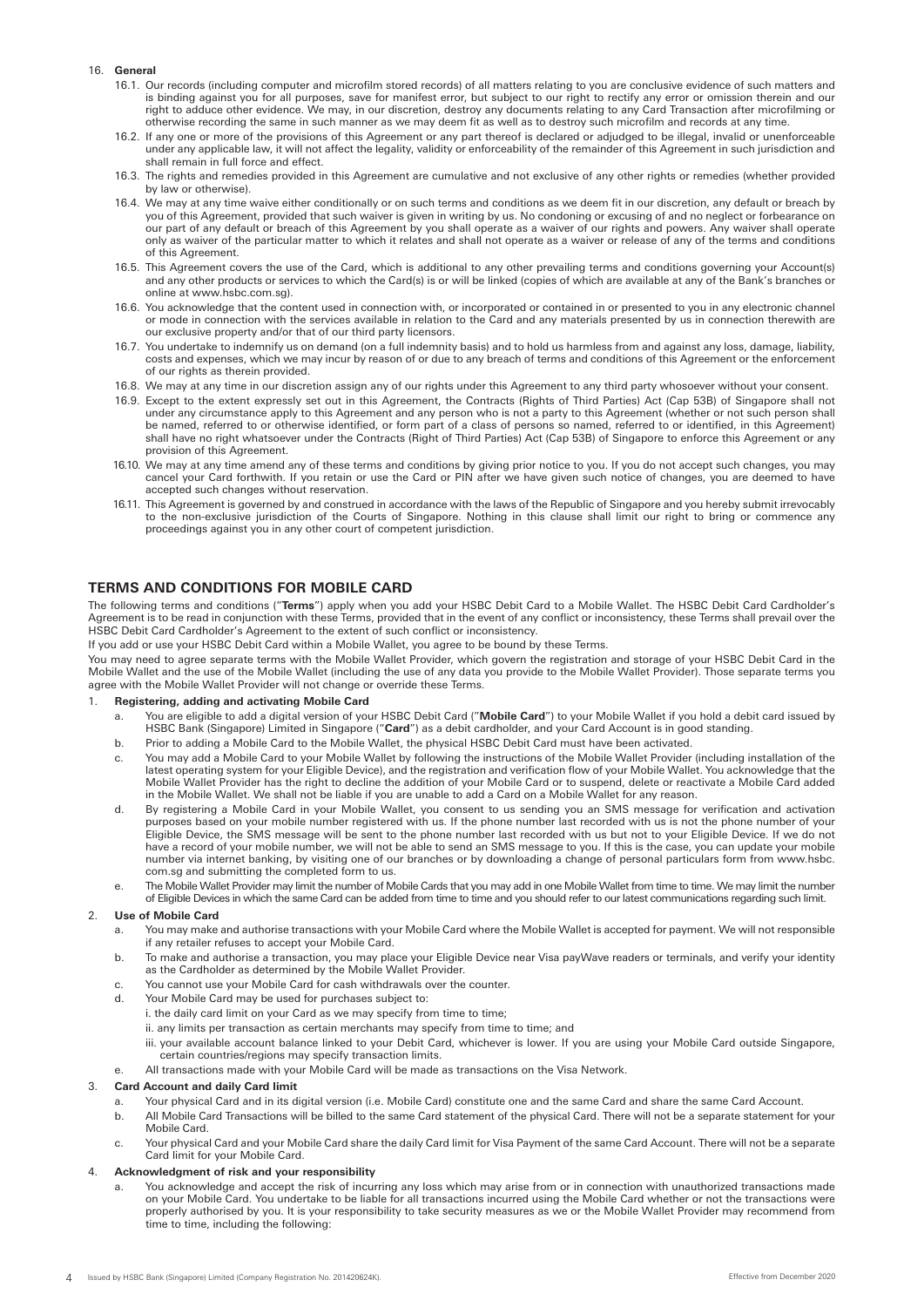## 16. **General**

- 16.1. Our records (including computer and microfilm stored records) of all matters relating to you are conclusive evidence of such matters and is binding against you for all purposes, save for manifest error, but subject to our right to rectify any error or omission therein and our right to adduce other evidence. We may, in our discretion, destroy any documents relating to any Card Transaction after microfilming or otherwise recording the same in such manner as we may deem fit as well as to destroy such microfilm and records at any time.
- 16.2. If any one or more of the provisions of this Agreement or any part thereof is declared or adjudged to be illegal, invalid or unenforceable under any applicable law, it will not affect the legality, validity or enforceability of the remainder of this Agreement in such jurisdiction and shall remain in full force and effect.
- 16.3. The rights and remedies provided in this Agreement are cumulative and not exclusive of any other rights or remedies (whether provided by law or otherwise).
- 16.4. We may at any time waive either conditionally or on such terms and conditions as we deem fit in our discretion, any default or breach by you of this Agreement, provided that such waiver is given in writing by us. No condoning or excusing of and no neglect or forbearance on our part of any default or breach of this Agreement by you shall operate as a waiver of our rights and powers. Any waiver shall operate only as waiver of the particular matter to which it relates and shall not operate as a waiver or release of any of the terms and conditions of this Agreement.
- 16.5. This Agreement covers the use of the Card, which is additional to any other prevailing terms and conditions governing your Account(s) and any other products or services to which the Card(s) is or will be linked (copies of which are available at any of the Bank's branches or online at www.hsbc.com.sg).
- 16.6. You acknowledge that the content used in connection with, or incorporated or contained in or presented to you in any electronic channel or mode in connection with the services available in relation to the Card and any materials presented by us in connection therewith are our exclusive property and/or that of our third party licensors.
- 16.7. You undertake to indemnify us on demand (on a full indemnity basis) and to hold us harmless from and against any loss, damage, liability, costs and expenses, which we may incur by reason of or due to any breach of terms and conditions of this Agreement or the enforcement of our rights as therein provided.
- 16.8. We may at any time in our discretion assign any of our rights under this Agreement to any third party whosoever without your consent.
- 16.9. Except to the extent expressly set out in this Agreement, the Contracts (Rights of Third Parties) Act (Cap 53B) of Singapore shall not under any circumstance apply to this Agreement and any person who is not a party to this Agreement (whether or not such person shall be named, referred to or otherwise identified, or form part of a class of persons so named, referred to or identified, in this Agreement) shall have no right whatsoever under the Contracts (Right of Third Parties) Act (Cap 53B) of Singapore to enforce this Agreement or any provision of this Agreement.
- 16.10. We may at any time amend any of these terms and conditions by giving prior notice to you. If you do not accept such changes, you may cancel your Card forthwith. If you retain or use the Card or PIN after we have given such notice of changes, you are deemed to have accepted such changes without reservation.
- 16.11. This Agreement is governed by and construed in accordance with the laws of the Republic of Singapore and you hereby submit irrevocably to the non-exclusive jurisdiction of the Courts of Singapore. Nothing in this clause shall limit our right to bring or commence any proceedings against you in any other court of competent jurisdiction.

# **TERMS AND CONDITIONS FOR MOBILE CARD**

The following terms and conditions ("**Terms**") apply when you add your HSBC Debit Card to a Mobile Wallet. The HSBC Debit Card Cardholder's Agreement is to be read in conjunction with these Terms, provided that in the event of any conflict or inconsistency, these Terms shall prevail over the HSBC Debit Card Cardholder's Agreement to the extent of such conflict or inconsistency.

If you add or use your HSBC Debit Card within a Mobile Wallet, you agree to be bound by these Terms.

You may need to agree separate terms with the Mobile Wallet Provider, which govern the registration and storage of your HSBC Debit Card in the Mobile Wallet and the use of the Mobile Wallet (including the use of any data you provide to the Mobile Wallet Provider). Those separate terms you agree with the Mobile Wallet Provider will not change or override these Terms.

## 1. **Registering, adding and activating Mobile Card**

- a. You are eligible to add a digital version of your HSBC Debit Card ("**Mobile Card**") to your Mobile Wallet if you hold a debit card issued by HSBC Bank (Singapore) Limited in Singapore ("**Card**") as a debit cardholder, and your Card Account is in good standing.
- b. Prior to adding a Mobile Card to the Mobile Wallet, the physical HSBC Debit Card must have been activated.
- c. You may add a Mobile Card to your Mobile Wallet by following the instructions of the Mobile Wallet Provider (including installation of the latest operating system for your Eligible Device), and the registration and verification flow of your Mobile Wallet. You acknowledge that the Mobile Wallet Provider has the right to decline the addition of your Mobile Card or to suspend, delete or reactivate a Mobile Card added in the Mobile Wallet. We shall not be liable if you are unable to add a Card on a Mobile Wallet for any reason.
- d. By registering a Mobile Card in your Mobile Wallet, you consent to us sending you an SMS message for verification and activation purposes based on your mobile number registered with us. If the phone number last recorded with us is not the phone number of your Eligible Device, the SMS message will be sent to the phone number last recorded with us but not to your Eligible Device. If we do not have a record of your mobile number, we will not be able to send an SMS message to you. If this is the case, you can update your mobile number via internet banking, by visiting one of our branches or by downloading a change of personal particulars form from www.hsbc. com.sg and submitting the completed form to us.
- e. The Mobile Wallet Provider may limit the number of Mobile Cards that you may add in one Mobile Wallet from time to time. We may limit the number of Eligible Devices in which the same Card can be added from time to time and you should refer to our latest communications regarding such limit.

## 2. **Use of Mobile Card**

- a. You may make and authorise transactions with your Mobile Card where the Mobile Wallet is accepted for payment. We will not responsible if any retailer refuses to accept your Mobile Card.
- b. To make and authorise a transaction, you may place your Eligible Device near Visa payWave readers or terminals, and verify your identity as the Cardholder as determined by the Mobile Wallet Provider.
- c. You cannot use your Mobile Card for cash withdrawals over the counter.
- d. Your Mobile Card may be used for purchases subject to:
	- i. the daily card limit on your Card as we may specify from time to time;
		- ii. any limits per transaction as certain merchants may specify from time to time; and
		- iii. your available account balance linked to your Debit Card, whichever is lower. If you are using your Mobile Card outside Singapore, certain countries/regions may specify transaction limits.
- All transactions made with your Mobile Card will be made as transactions on the Visa Network.

#### 3. **Card Account and daily Card limit**

- a. Your physical Card and in its digital version (i.e. Mobile Card) constitute one and the same Card and share the same Card Account.
- b. All Mobile Card Transactions will be billed to the same Card statement of the physical Card. There will not be a separate statement for your Mobile Card.
- c. Your physical Card and your Mobile Card share the daily Card limit for Visa Payment of the same Card Account. There will not be a separate Card limit for your Mobile Card.

## 4. **Acknowledgment of risk and your responsibility**

a. You acknowledge and accept the risk of incurring any loss which may arise from or in connection with unauthorized transactions made on your Mobile Card. You undertake to be liable for all transactions incurred using the Mobile Card whether or not the transactions were properly authorised by you. It is your responsibility to take security measures as we or the Mobile Wallet Provider may recommend from time to time, including the following: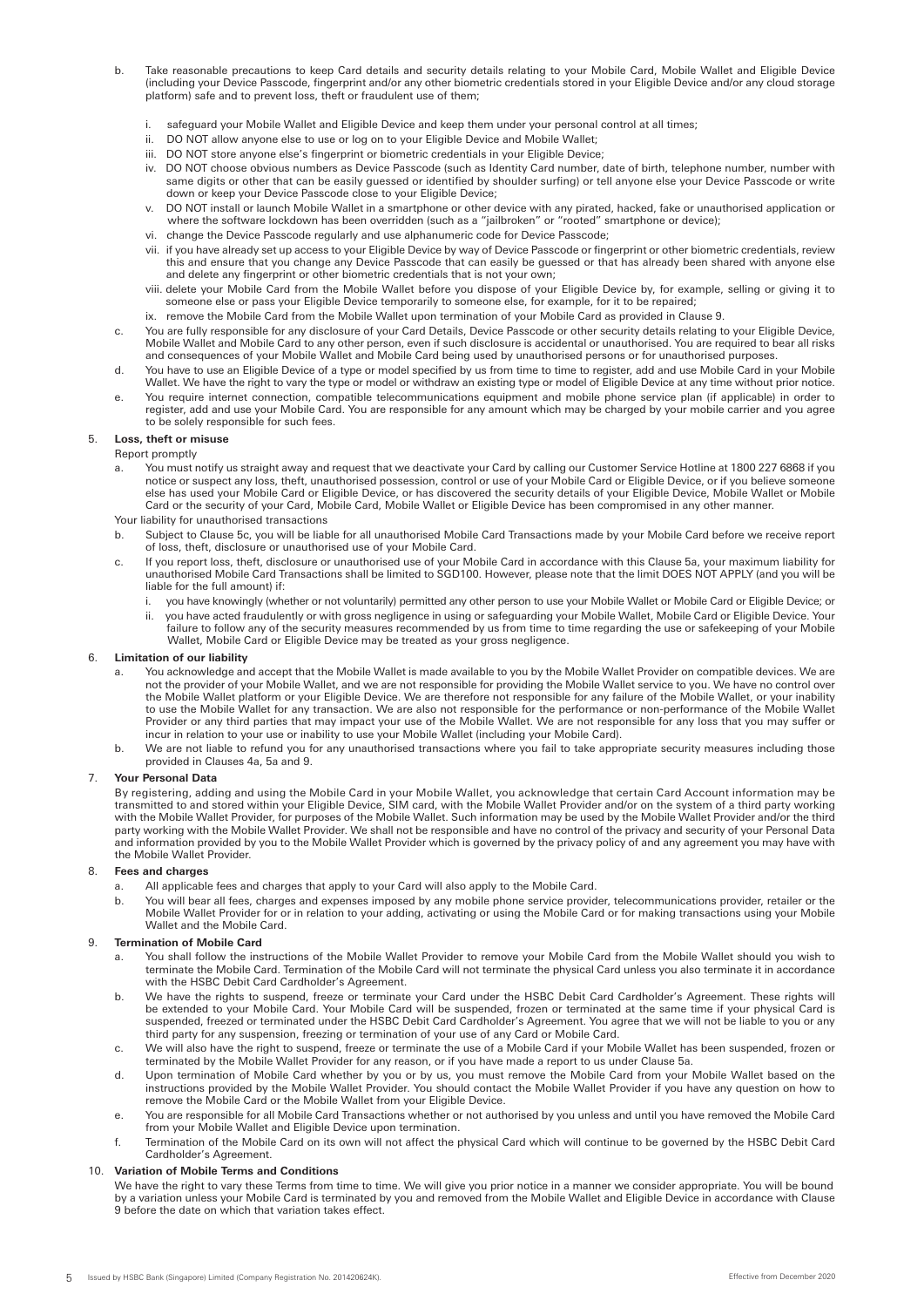- b. Take reasonable precautions to keep Card details and security details relating to your Mobile Card, Mobile Wallet and Eligible Device (including your Device Passcode, fingerprint and/or any other biometric credentials stored in your Eligible Device and/or any cloud storage platform) safe and to prevent loss, theft or fraudulent use of them;
	- i. safeguard your Mobile Wallet and Eligible Device and keep them under your personal control at all times;
	- DO NOT allow anyone else to use or log on to your Eligible Device and Mobile Wallet;
	- iii. DO NOT store anyone else's fingerprint or biometric credentials in your Eligible Device;
	- iv. DO NOT choose obvious numbers as Device Passcode (such as Identity Card number, date of birth, telephone number, number with same digits or other that can be easily guessed or identified by shoulder surfing) or tell anyone else your Device Passcode or write down or keep your Device Passcode close to your Eligible Device;
	- DO NOT install or launch Mobile Wallet in a smartphone or other device with any pirated, hacked, fake or unauthorised application or where the software lockdown has been overridden (such as a "jailbroken" or "rooted" smartphone or device);
	- vi. change the Device Passcode regularly and use alphanumeric code for Device Passcode;
	- vii. if you have already set up access to your Eligible Device by way of Device Passcode or fingerprint or other biometric credentials, review this and ensure that you change any Device Passcode that can easily be guessed or that has already been shared with anyone else and delete any fingerprint or other biometric credentials that is not your own;
- viii. delete your Mobile Card from the Mobile Wallet before you dispose of your Eligible Device by, for example, selling or giving it to someone else or pass your Eligible Device temporarily to someone else, for example, for it to be repaired;
	- ix. remove the Mobile Card from the Mobile Wallet upon termination of your Mobile Card as provided in Clause 9.
	- c. You are fully responsible for any disclosure of your Card Details, Device Passcode or other security details relating to your Eligible Device, Mobile Wallet and Mobile Card to any other person, even if such disclosure is accidental or unauthorised. You are required to bear all risks and consequences of your Mobile Wallet and Mobile Card being used by unauthorised persons or for unauthorised purposes.
	- d. You have to use an Eligible Device of a type or model specified by us from time to time to register, add and use Mobile Card in your Mobile Wallet. We have the right to vary the type or model or withdraw an existing type or model of Eligible Device at any time without prior notice.
	- e. You require internet connection, compatible telecommunications equipment and mobile phone service plan (if applicable) in order to register, add and use your Mobile Card. You are responsible for any amount which may be charged by your mobile carrier and you agree to be solely responsible for such fees.

# 5. **Loss, theft or misuse**

#### Report promptly

- a. You must notify us straight away and request that we deactivate your Card by calling our Customer Service Hotline at 1800 227 6868 if you notice or suspect any loss, theft, unauthorised possession, control or use of your Mobile Card or Eligible Device, or if you believe someone else has used your Mobile Card or Eligible Device, or has discovered the security details of your Eligible Device, Mobile Wallet or Mobile Card or the security of your Card, Mobile Card, Mobile Wallet or Eligible Device has been compromised in any other manner. Your liability for unauthorised transactions
- b. Subject to Clause 5c, you will be liable for all unauthorised Mobile Card Transactions made by your Mobile Card before we receive report of loss, theft, disclosure or unauthorised use of your Mobile Card.
- c. If you report loss, theft, disclosure or unauthorised use of your Mobile Card in accordance with this Clause 5a, your maximum liability for unauthorised Mobile Card Transactions shall be limited to SGD100. However, please note that the limit DOES NOT APPLY (and you will be liable for the full amount) if:
	- i. you have knowingly (whether or not voluntarily) permitted any other person to use your Mobile Wallet or Mobile Card or Eligible Device; or
- ii. you have acted fraudulently or with gross negligence in using or safeguarding your Mobile Wallet, Mobile Card or Eligible Device. Your failure to follow any of the security measures recommended by us from time to time regarding the use or safekeeping of your Mobile Wallet, Mobile Card or Eligible Device may be treated as your gross negligence.

### 6. **Limitation of our liability**

- You acknowledge and accept that the Mobile Wallet is made available to you by the Mobile Wallet Provider on compatible devices. We are not the provider of your Mobile Wallet, and we are not responsible for providing the Mobile Wallet service to you. We have no control over the Mobile Wallet platform or your Eligible Device. We are therefore not responsible for any failure of the Mobile Wallet, or your inability to use the Mobile Wallet for any transaction. We are also not responsible for the performance or non-performance of the Mobile Wallet Provider or any third parties that may impact your use of the Mobile Wallet. We are not responsible for any loss that you may suffer or incur in relation to your use or inability to use your Mobile Wallet (including your Mobile Card).
- b. We are not liable to refund you for any unauthorised transactions where you fail to take appropriate security measures including those provided in Clauses 4a, 5a and 9.

## 7. **Your Personal Data**

By registering, adding and using the Mobile Card in your Mobile Wallet, you acknowledge that certain Card Account information may be transmitted to and stored within your Eligible Device, SIM card, with the Mobile Wallet Provider and/or on the system of a third party working with the Mobile Wallet Provider, for purposes of the Mobile Wallet. Such information may be used by the Mobile Wallet Provider and/or the third party working with the Mobile Wallet Provider. We shall not be responsible and have no control of the privacy and security of your Personal Data and information provided by you to the Mobile Wallet Provider which is governed by the privacy policy of and any agreement you may have with the Mobile Wallet Provider.

## 8. **Fees and charges**

- All applicable fees and charges that apply to your Card will also apply to the Mobile Card.
- b. You will bear all fees, charges and expenses imposed by any mobile phone service provider, telecommunications provider, retailer or the Mobile Wallet Provider for or in relation to your adding, activating or using the Mobile Card or for making transactions using your Mobile Wallet and the Mobile Card.

## 9. **Termination of Mobile Card**

- a. You shall follow the instructions of the Mobile Wallet Provider to remove your Mobile Card from the Mobile Wallet should you wish to terminate the Mobile Card. Termination of the Mobile Card will not terminate the physical Card unless you also terminate it in accordance with the HSBC Debit Card Cardholder's Agreement.
- b. We have the rights to suspend, freeze or terminate your Card under the HSBC Debit Card Cardholder's Agreement. These rights will be extended to your Mobile Card. Your Mobile Card will be suspended, frozen or terminated at the same time if your physical Card is suspended, freezed or terminated under the HSBC Debit Card Cardholder's Agreement. You agree that we will not be liable to you or any third party for any suspension, freezing or termination of your use of any Card or Mobile Card.
- c. We will also have the right to suspend, freeze or terminate the use of a Mobile Card if your Mobile Wallet has been suspended, frozen or terminated by the Mobile Wallet Provider for any reason, or if you have made a report to us under Clause 5a.
- d. Upon termination of Mobile Card whether by you or by us, you must remove the Mobile Card from your Mobile Wallet based on the instructions provided by the Mobile Wallet Provider. You should contact the Mobile Wallet Provider if you have any question on how to remove the Mobile Card or the Mobile Wallet from your Eligible Device.
- e. You are responsible for all Mobile Card Transactions whether or not authorised by you unless and until you have removed the Mobile Card from your Mobile Wallet and Eligible Device upon termination.
- f. Termination of the Mobile Card on its own will not affect the physical Card which will continue to be governed by the HSBC Debit Card Cardholder's Agreement.

# 10. **Variation of Mobile Terms and Conditions**

We have the right to vary these Terms from time to time. We will give you prior notice in a manner we consider appropriate. You will be bound by a variation unless your Mobile Card is terminated by you and removed from the Mobile Wallet and Eligible Device in accordance with Clause 9 before the date on which that variation takes effect.